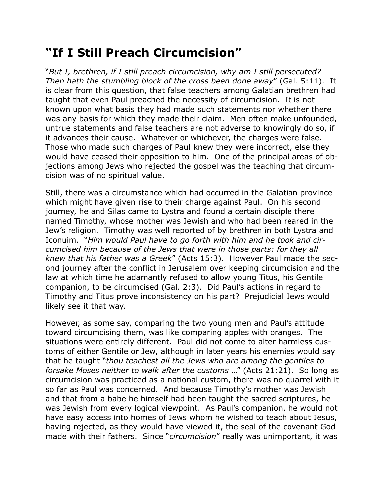## **"If I Still Preach Circumcision"**

"*But I, brethren, if I still preach circumcision, why am I still persecuted? Then hath the stumbling block of the cross been done away*" (Gal. 5:11). It is clear from this question, that false teachers among Galatian brethren had taught that even Paul preached the necessity of circumcision. It is not known upon what basis they had made such statements nor whether there was any basis for which they made their claim. Men often make unfounded, untrue statements and false teachers are not adverse to knowingly do so, if it advances their cause. Whatever or whichever, the charges were false. Those who made such charges of Paul knew they were incorrect, else they would have ceased their opposition to him. One of the principal areas of objections among Jews who rejected the gospel was the teaching that circumcision was of no spiritual value.

Still, there was a circumstance which had occurred in the Galatian province which might have given rise to their charge against Paul. On his second journey, he and Silas came to Lystra and found a certain disciple there named Timothy, whose mother was Jewish and who had been reared in the Jew's religion. Timothy was well reported of by brethren in both Lystra and Iconuim. "*Him would Paul have to go forth with him and he took and circumcised him because of the Jews that were in those parts: for they all knew that his father was a Greek*" (Acts 15:3). However Paul made the second journey after the conflict in Jerusalem over keeping circumcision and the law at which time he adamantly refused to allow young Titus, his Gentile companion, to be circumcised (Gal. 2:3). Did Paul's actions in regard to Timothy and Titus prove inconsistency on his part? Prejudicial Jews would likely see it that way.

However, as some say, comparing the two young men and Paul's attitude toward circumcising them, was like comparing apples with oranges. The situations were entirely different. Paul did not come to alter harmless customs of either Gentile or Jew, although in later years his enemies would say that he taught "*thou teachest all the Jews who are among the gentiles to forsake Moses neither to walk after the customs* …" (Acts 21:21). So long as circumcision was practiced as a national custom, there was no quarrel with it so far as Paul was concerned. And because Timothy's mother was Jewish and that from a babe he himself had been taught the sacred scriptures, he was Jewish from every logical viewpoint. As Paul's companion, he would not have easy access into homes of Jews whom he wished to teach about Jesus, having rejected, as they would have viewed it, the seal of the covenant God made with their fathers. Since "*circumcision*" really was unimportant, it was